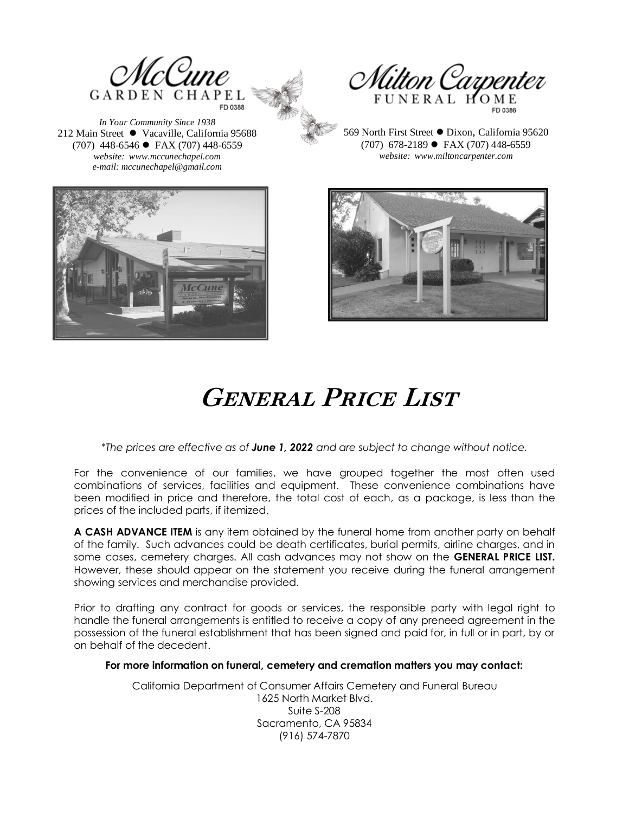

*In Your Community Since 1938* 212 Main Street ⚫ Vacaville, California 95688 (707) 448-6546 ⚫ FAX (707) 448-6559 *website: www.mccunechapel.com e-mail: mccunechapel@gmail.com*



569 North First Street ⚫ Dixon, California 95620 (707) 678-2189 ⚫ FAX (707) 448-6559 *website: www.miltoncarpenter.com*





# **General Price List**

*\*The prices are effective as of June 1, 2022 and are subject to change without notice.*

For the convenience of our families, we have grouped together the most often used combinations of services, facilities and equipment. These convenience combinations have been modified in price and therefore, the total cost of each, as a package, is less than the prices of the included parts, if itemized.

**A CASH ADVANCE ITEM** is any item obtained by the funeral home from another party on behalf of the family. Such advances could be death certificates, burial permits, airline charges, and in some cases, cemetery charges. All cash advances may not show on the **GENERAL PRICE LIST.**  However, these should appear on the statement you receive during the funeral arrangement showing services and merchandise provided.

Prior to drafting any contract for goods or services, the responsible party with legal right to handle the funeral arrangements is entitled to receive a copy of any preneed agreement in the possession of the funeral establishment that has been signed and paid for, in full or in part, by or on behalf of the decedent.

#### **For more information on funeral, cemetery and cremation matters you may contact:**

California Department of Consumer Affairs Cemetery and Funeral Bureau 1625 North Market Blvd. Suite S-208 Sacramento, CA 95834 (916) 574-7870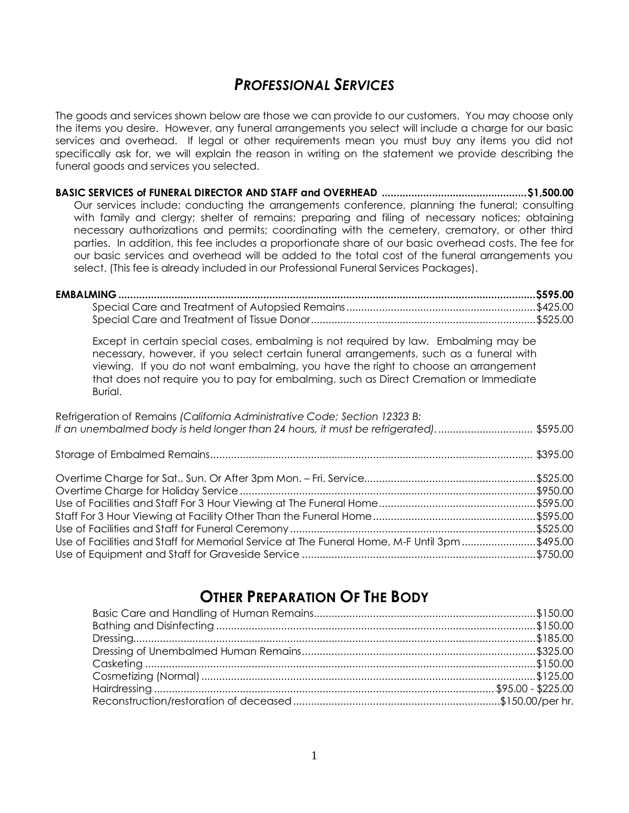### *PROFESSIONAL SERVICES*

The goods and services shown below are those we can provide to our customers. You may choose only the items you desire. However, any funeral arrangements you select will include a charge for our basic services and overhead. If legal or other requirements mean you must buy any items you did not specifically ask for, we will explain the reason in writing on the statement we provide describing the funeral goods and services you selected.

**BASIC SERVICES of FUNERAL DIRECTOR AND STAFF and OVERHEAD .................................................\$1,500.00** Our services include: conducting the arrangements conference, planning the funeral; consulting with family and clergy; shelter of remains; preparing and filing of necessary notices; obtaining necessary authorizations and permits; coordinating with the cemetery, crematory, or other third parties. In addition, this fee includes a proportionate share of our basic overhead costs. The fee for our basic services and overhead will be added to the total cost of the funeral arrangements you select. (This fee is already included in our Professional Funeral Services Packages).

Except in certain special cases, embalming is not required by law. Embalming may be necessary, however, if you select certain funeral arrangements, such as a funeral with viewing. If you do not want embalming, you have the right to choose an arrangement that does not require you to pay for embalming, such as Direct Cremation or Immediate Burial.

| Refrigeration of Remains (California Administrative Code; Section 12323 B:<br>If an unembalmed body is held longer than 24 hours, it must be refrigerated) \$595.00 |  |
|---------------------------------------------------------------------------------------------------------------------------------------------------------------------|--|
|                                                                                                                                                                     |  |
|                                                                                                                                                                     |  |
|                                                                                                                                                                     |  |
|                                                                                                                                                                     |  |
|                                                                                                                                                                     |  |
| Use of Facilities and Staff for Memorial Service at The Funeral Home, M-F Until 3pm\$495.00                                                                         |  |
|                                                                                                                                                                     |  |

### **OTHER PREPARATION OF THE BODY**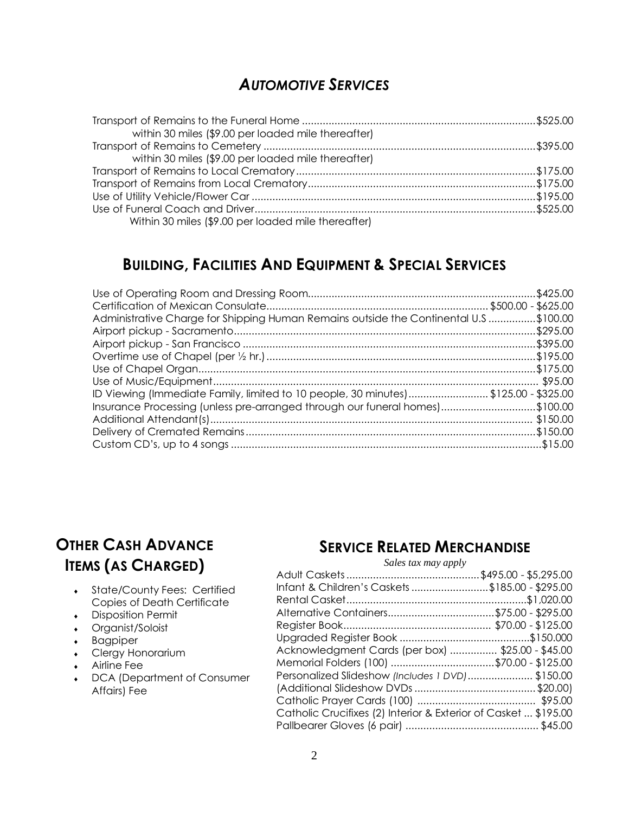### *AUTOMOTIVE SERVICES*

| within 30 miles (\$9.00 per loaded mile thereafter) |  |
|-----------------------------------------------------|--|
|                                                     |  |
| within 30 miles (\$9.00 per loaded mile thereafter) |  |
|                                                     |  |
|                                                     |  |
|                                                     |  |
|                                                     |  |
| Within 30 miles (\$9.00 per loaded mile thereafter) |  |

### **BUILDING, FACILITIES AND EQUIPMENT & SPECIAL SERVICES**

| Administrative Charge for Shipping Human Remains outside the Continental U.S \$100.00 |  |
|---------------------------------------------------------------------------------------|--|
|                                                                                       |  |
|                                                                                       |  |
|                                                                                       |  |
|                                                                                       |  |
|                                                                                       |  |
| ID Viewing (Immediate Family, limited to 10 people, 30 minutes) \$125.00 - \$325.00   |  |
| Insurance Processing (unless pre-arranged through our funeral homes)\$100.00          |  |
|                                                                                       |  |
|                                                                                       |  |
|                                                                                       |  |

### **OTHER CASH ADVANCE ITEMS (AS CHARGED)**

- State/County Fees: Certified Copies of Death Certificate
- Disposition Permit
- Organist/Soloist
- Bagpiper
- Clergy Honorarium
- ◆ Airline Fee
- DCA (Department of Consumer Affairs) Fee

### **SERVICE RELATED MERCHANDISE**

#### *Sales tax may apply*

| Infant & Children's Caskets \$185.00 - \$295.00                 |  |
|-----------------------------------------------------------------|--|
|                                                                 |  |
| Alternative Containers\$75.00 - \$295.00                        |  |
|                                                                 |  |
|                                                                 |  |
| Acknowledgment Cards (per box)  \$25.00 - \$45.00               |  |
| Memorial Folders (100) \$70.00 - \$125.00                       |  |
| Personalized Slideshow (Includes 1 DVD)\$150.00                 |  |
|                                                                 |  |
|                                                                 |  |
| Catholic Crucifixes (2) Interior & Exterior of Casket  \$195.00 |  |
|                                                                 |  |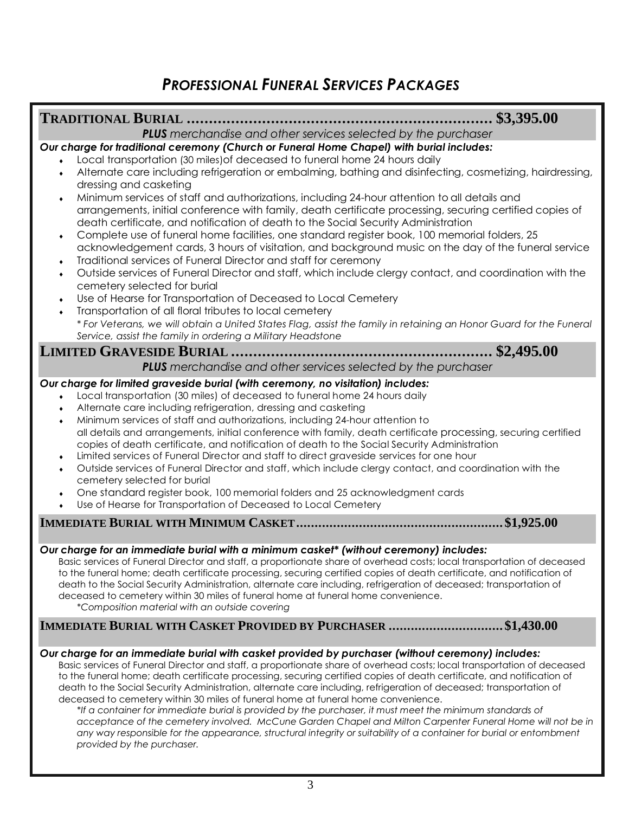### *PROFESSIONAL FUNERAL SERVICES PACKAGES*

#### **TRADITIONAL BURIAL ..................................................................... \$3,395.00** *PLUS merchandise and other services selected by the purchaser Our charge for traditional ceremony (Church or Funeral Home Chapel) with burial includes:* Local transportation (30 miles)of deceased to funeral home 24 hours daily Alternate care including refrigeration or embalming, bathing and disinfecting, cosmetizing, hairdressing, dressing and casketing Minimum services of staff and authorizations, including 24-hour attention to all details and arrangements, initial conference with family, death certificate processing, securing certified copies of death certificate, and notification of death to the Social Security Administration Complete use of funeral home facilities, one standard register book, 100 memorial folders, 25 acknowledgement cards, 3 hours of visitation, and background music on the day of the funeral service Traditional services of Funeral Director and staff for ceremony Outside services of Funeral Director and staff, which include clergy contact, and coordination with the cemetery selected for burial Use of Hearse for Transportation of Deceased to Local Cemetery Transportation of all floral tributes to local cemetery *\* For Veterans, we will obtain a United States Flag, assist the family in retaining an Honor Guard for the Funeral Service, assist the family in ordering a Military Headstone* **LIMITED GRAVESIDE BURIAL ........................................................... \$2,495.00** *PLUS merchandise and other services selected by the purchaser Our charge for limited graveside burial (with ceremony, no visitation) includes:* Local transportation (30 miles) of deceased to funeral home 24 hours daily Alternate care including refrigeration, dressing and casketing Minimum services of staff and authorizations, including 24-hour attention to all details and arrangements, initial conference with family, death certificate processing, securing certified copies of death certificate, and notification of death to the Social Security Administration Limited services of Funeral Director and staff to direct graveside services for one hour Outside services of Funeral Director and staff, which include clergy contact, and coordination with the cemetery selected for burial One standard register book, 100 memorial folders and 25 acknowledgment cards Use of Hearse for Transportation of Deceased to Local Cemetery **IMMEDIATE BURIAL WITH MINIMUM CASKET........................................................\$1,925.00** *Our charge for an immediate burial with a minimum casket\* (without ceremony) includes:*  Basic services of Funeral Director and staff, a proportionate share of overhead costs; local transportation of deceased to the funeral home; death certificate processing, securing certified copies of death certificate, and notification of death to the Social Security Administration, alternate care including, refrigeration of deceased; transportation of deceased to cemetery within 30 miles of funeral home at funeral home convenience. *\*Composition material with an outside covering* **IMMEDIATE BURIAL WITH CASKET PROVIDED BY PURCHASER ...............................\$1,430.00**

#### *Our charge for an immediate burial with casket provided by purchaser (without ceremony) includes:*  Basic services of Funeral Director and staff, a proportionate share of overhead costs; local transportation of deceased

to the funeral home; death certificate processing, securing certified copies of death certificate, and notification of death to the Social Security Administration, alternate care including, refrigeration of deceased; transportation of deceased to cemetery within 30 miles of funeral home at funeral home convenience.

*\*If a container for immediate burial is provided by the purchaser, it must meet the minimum standards of acceptance of the cemetery involved. McCune Garden Chapel and Milton Carpenter Funeral Home will not be in any way responsible for the appearance, structural integrity or suitability of a container for burial or entombment provided by the purchaser.*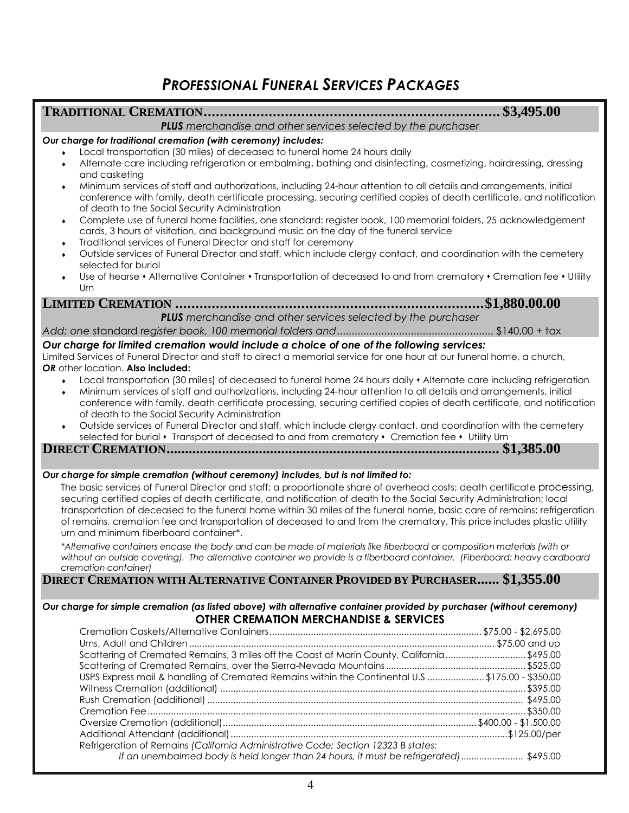### *PROFESSIONAL FUNERAL SERVICES PACKAGES*

#### **TRADITIONAL CREMATION......................................................................... \$3,495.00**

*PLUS merchandise and other services selected by the purchaser*

#### *Our charge for traditional cremation (with ceremony) includes:*

- Local transportation (30 miles) of deceased to funeral home 24 hours daily
- Alternate care including refrigeration or embalming, bathing and disinfecting, cosmetizing, hairdressing, dressing and casketing
- Minimum services of staff and authorizations, including 24-hour attention to all details and arrangements, initial conference with family, death certificate processing, securing certified copies of death certificate, and notification of death to the Social Security Administration
- Complete use of funeral home facilities, one standard: register book, 100 memorial folders, 25 acknowledgement cards, 3 hours of visitation, and background music on the day of the funeral service
- Traditional services of Funeral Director and staff for ceremony
- Outside services of Funeral Director and staff, which include clergy contact, and coordination with the cemetery selected for burial
- Use of hearse Alternative Container Transportation of deceased to and from crematory Cremation fee Utility Urn

**LIMITED CREMATION ............................................................................\$1,880.00.00** *PLUS merchandise and other services selected by the purchaser*

*Add: one* standard r*egister book, 100 memorial folders and.....................................................* \$140.00 + tax

#### *Our charge for limited cremation would include a choice of one of the following services:*

Limited Services of Funeral Director and staff to direct a memorial service for one hour at our funeral home, a church, *OR* other location. **Also included:**

- ↓ Local transportation (30 miles) of deceased to funeral home 24 hours daily Alternate care including refrigeration
- Minimum services of staff and authorizations, including 24-hour attention to all details and arrangements, initial conference with family, death certificate processing, securing certified copies of death certificate, and notification of death to the Social Security Administration
- Outside services of Funeral Director and staff, which include clergy contact, and coordination with the cemetery selected for burial • Transport of deceased to and from crematory • Cremation fee • Utility Urn

**DIRECT CREMATION.......................................................................................... \$1,385.00**

#### *Our charge for simple cremation (without ceremony) includes, but is not limited to:*

The basic services of Funeral Director and staff; a proportionate share of overhead costs; death certificate processing, securing certified copies of death certificate, and notification of death to the Social Security Administration; local transportation of deceased to the funeral home within 30 miles of the funeral home, basic care of remains; refrigeration of remains, cremation fee and transportation of deceased to and from the crematory. This price includes plastic utility urn and minimum fiberboard container\*.

*\*Alternative containers encase the body and can be made of materials like fiberboard or composition materials (with or without an outside covering). The alternative container we provide is a fiberboard container. (Fiberboard: heavy cardboard cremation container)*

#### **DIRECT CREMATION WITH ALTERNATIVE CONTAINER PROVIDED BY PURCHASER...... \$1,355.00**

#### *Our charge for simple cremation (as listed above) with alternative container provided by purchaser (without ceremony)* **OTHER CREMATION MERCHANDISE & SERVICES**

| Scattering of Cremated Remains, 3 miles off the Coast of Marin County, California\$495.00       |  |
|-------------------------------------------------------------------------------------------------|--|
|                                                                                                 |  |
| USPS Express mail & handling of Cremated Remains within the Continental U.S \$175.00 - \$350.00 |  |
|                                                                                                 |  |
|                                                                                                 |  |
|                                                                                                 |  |
|                                                                                                 |  |
|                                                                                                 |  |
| Refrigeration of Remains (California Administrative Code; Section 12323 B states:               |  |
| If an unembalmed body is held longer than 24 hours, it must be refrigerated)  \$495.00          |  |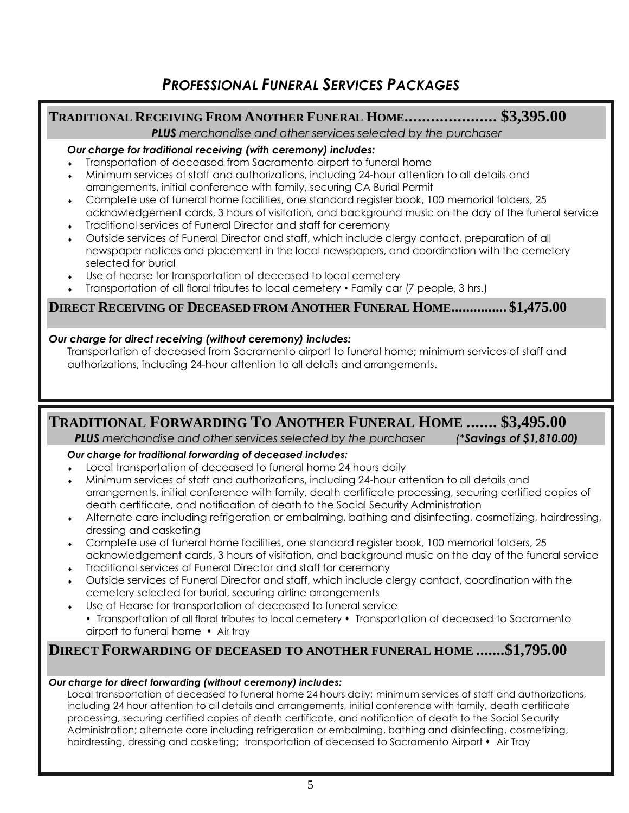### **TRADITIONAL RECEIVING FROM ANOTHER FUNERAL HOME..................... \$3,395.00**

*PLUS merchandise and other services selected by the purchaser*

#### *Our charge for traditional receiving (with ceremony) includes:*

- Transportation of deceased from Sacramento airport to funeral home
- Minimum services of staff and authorizations, including 24-hour attention to all details and arrangements, initial conference with family, securing CA Burial Permit
- Complete use of funeral home facilities, one standard register book, 100 memorial folders, 25 acknowledgement cards, 3 hours of visitation, and background music on the day of the funeral service
- Traditional services of Funeral Director and staff for ceremony
- Outside services of Funeral Director and staff, which include clergy contact, preparation of all newspaper notices and placement in the local newspapers, and coordination with the cemetery selected for burial
- Use of hearse for transportation of deceased to local cemetery
- Transportation of all floral tributes to local cemetery  $\cdot$  Family car (7 people, 3 hrs.)

### **DIRECT RECEIVING OF DECEASED FROM ANOTHER FUNERAL HOME............... \$1,475.00**

#### *Our charge for direct receiving (without ceremony) includes:*

Transportation of deceased from Sacramento airport to funeral home; minimum services of staff and authorizations, including 24-hour attention to all details and arrangements.

### **TRADITIONAL FORWARDING TO ANOTHER FUNERAL HOME ....... \$3,495.00**

*PLUS merchandise and other services selected by the purchaser (\*Savings of \$1,810.00)*

#### *Our charge for traditional forwarding of deceased includes:*

Local transportation of deceased to funeral home 24 hours daily

- Minimum services of staff and authorizations, including 24-hour attention to all details and arrangements, initial conference with family, death certificate processing, securing certified copies of death certificate, and notification of death to the Social Security Administration
- Alternate care including refrigeration or embalming, bathing and disinfecting, cosmetizing, hairdressing, dressing and casketing
- Complete use of funeral home facilities, one standard register book, 100 memorial folders, 25 acknowledgement cards, 3 hours of visitation, and background music on the day of the funeral service
- Traditional services of Funeral Director and staff for ceremony
- Outside services of Funeral Director and staff, which include clergy contact, coordination with the cemetery selected for burial, securing airline arrangements
- Use of Hearse for transportation of deceased to funeral service
	- Transportation of all floral tributes to local cemetery Transportation of deceased to Sacramento airport to funeral home  $\cdot$  Air tray

### **DIRECT FORWARDING OF DECEASED TO ANOTHER FUNERAL HOME .......\$1,795.00**

#### *Our charge for direct forwarding (without ceremony) includes:*

Local transportation of deceased to funeral home 24 hours daily; minimum services of staff and authorizations, including 24 hour attention to all details and arrangements, initial conference with family, death certificate processing, securing certified copies of death certificate, and notification of death to the Social Security Administration; alternate care including refrigeration or embalming, bathing and disinfecting, cosmetizing, hairdressing, dressing and casketing; transportation of deceased to Sacramento Airport • Air Tray